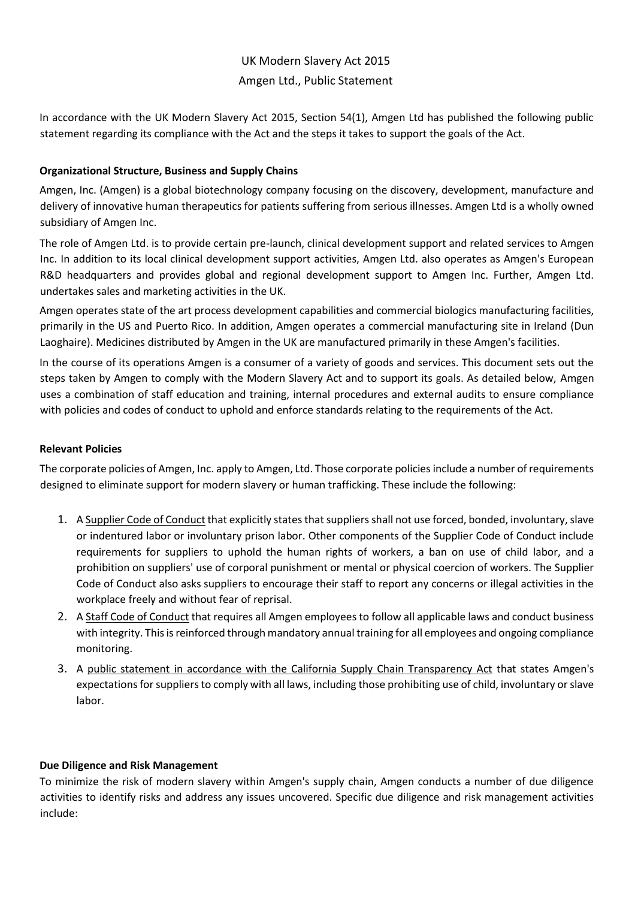# UK Modern Slavery Act 2015 Amgen Ltd., Public Statement

In accordance with the UK Modern Slavery Act 2015, Section 54(1), Amgen Ltd has published the following public statement regarding its compliance with the Act and the steps it takes to support the goals of the Act.

### **Organizational Structure, Business and Supply Chains**

Amgen, Inc. (Amgen) is a global biotechnology company focusing on the discovery, development, manufacture and delivery of innovative human therapeutics for patients suffering from serious illnesses. Amgen Ltd is a wholly owned subsidiary of Amgen Inc.

The role of Amgen Ltd. is to provide certain pre-launch, clinical development support and related services to Amgen Inc. In addition to its local clinical development support activities, Amgen Ltd. also operates as Amgen's European R&D headquarters and provides global and regional development support to Amgen Inc. Further, Amgen Ltd. undertakes sales and marketing activities in the UK.

Amgen operates state of the art process development capabilities and commercial biologics manufacturing facilities, primarily in the US and Puerto Rico. In addition, Amgen operates a commercial manufacturing site in Ireland (Dun Laoghaire). Medicines distributed by Amgen in the UK are manufactured primarily in these Amgen's facilities.

In the course of its operations Amgen is a consumer of a variety of goods and services. This document sets out the steps taken by Amgen to comply with the Modern Slavery Act and to support its goals. As detailed below, Amgen uses a combination of staff education and training, internal procedures and external audits to ensure compliance with policies and codes of conduct to uphold and enforce standards relating to the requirements of the Act.

## **Relevant Policies**

The corporate policies of Amgen, Inc. apply to Amgen, Ltd. Those corporate policies include a number of requirements designed to eliminate support for modern slavery or human trafficking. These include the following:

- 1. A Supplier Code of Conduct that explicitly states that suppliers shall not use forced, bonded, involuntary, slave or indentured labor or involuntary prison labor. Other components of the Supplier Code of Conduct include requirements for suppliers to uphold the human rights of workers, a ban on use of child labor, and a prohibition on suppliers' use of corporal punishment or mental or physical coercion of workers. The Supplier Code of Conduct also asks suppliers to encourage their staff to report any concerns or illegal activities in the workplace freely and without fear of reprisal.
- 2. A Staff Code of Conduct that requires all Amgen employees to follow all applicable laws and conduct business with integrity. This is reinforced through mandatory annual training for all employees and ongoing compliance monitoring.
- 3. A public statement in accordance with the California Supply Chain Transparency Act that states Amgen's expectations for suppliers to comply with all laws, including those prohibiting use of child, involuntary or slave labor.

### **Due Diligence and Risk Management**

To minimize the risk of modern slavery within Amgen's supply chain, Amgen conducts a number of due diligence activities to identify risks and address any issues uncovered. Specific due diligence and risk management activities include: